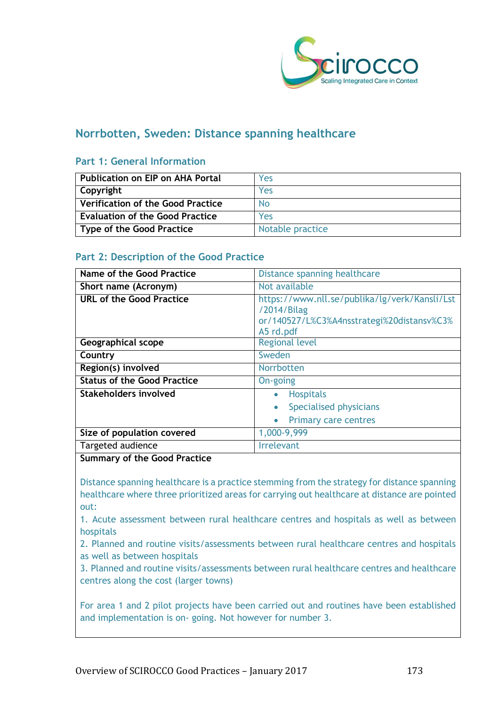

## **Norrbotten, Sweden: Distance spanning healthcare**

### **Part 1: General Information**

| <b>Publication on EIP on AHA Portal</b>  | Yes              |
|------------------------------------------|------------------|
| Copyright                                | Yes              |
| <b>Verification of the Good Practice</b> | N <sub>0</sub>   |
| <b>Evaluation of the Good Practice</b>   | Yes              |
| <b>Type of the Good Practice</b>         | Notable practice |

## **Part 2: Description of the Good Practice**

| Name of the Good Practice          | Distance spanning healthcare                                                                                            |  |
|------------------------------------|-------------------------------------------------------------------------------------------------------------------------|--|
| Short name (Acronym)               | Not available                                                                                                           |  |
| <b>URL of the Good Practice</b>    | https://www.nll.se/publika/lg/verk/Kansli/Lst<br>/2014/Bilag<br>or/140527/L%C3%A4nsstrategi%20distansv%C3%<br>A5 rd.pdf |  |
| Geographical scope                 | <b>Regional level</b>                                                                                                   |  |
| Country                            | Sweden                                                                                                                  |  |
| Region(s) involved                 | Norrbotten                                                                                                              |  |
| <b>Status of the Good Practice</b> | On-going                                                                                                                |  |
| Stakeholders involved              | <b>Hospitals</b><br>$\bullet$                                                                                           |  |
|                                    | Specialised physicians<br>$\bullet$                                                                                     |  |
|                                    | <b>Primary care centres</b>                                                                                             |  |
| Size of population covered         | 1,000-9,999                                                                                                             |  |
| Targeted audience                  | <b>Irrelevant</b>                                                                                                       |  |

#### **Summary of the Good Practice**

Distance spanning healthcare is a practice stemming from the strategy for distance spanning healthcare where three prioritized areas for carrying out healthcare at distance are pointed out:

1. Acute assessment between rural healthcare centres and hospitals as well as between hospitals

2. Planned and routine visits/assessments between rural healthcare centres and hospitals as well as between hospitals

3. Planned and routine visits/assessments between rural healthcare centres and healthcare centres along the cost (larger towns)

For area 1 and 2 pilot projects have been carried out and routines have been established and implementation is on- going. Not however for number 3.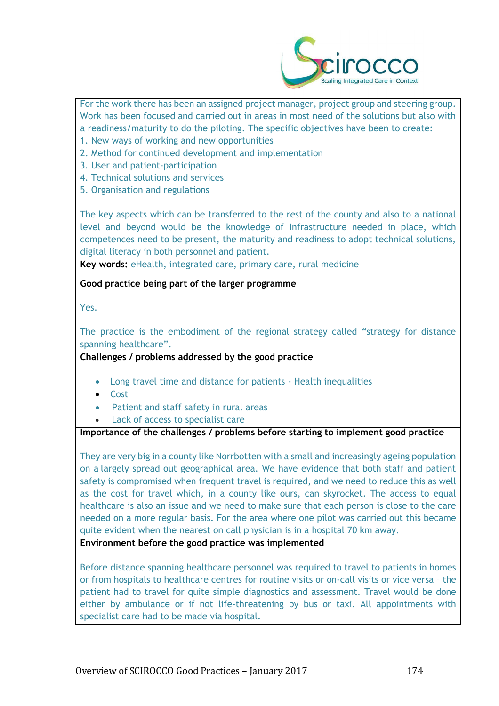

For the work there has been an assigned project manager, project group and steering group. Work has been focused and carried out in areas in most need of the solutions but also with a readiness/maturity to do the piloting. The specific objectives have been to create:

- 1. New ways of working and new opportunities
- 2. Method for continued development and implementation
- 3. User and patient-participation
- 4. Technical solutions and services
- 5. Organisation and regulations

The key aspects which can be transferred to the rest of the county and also to a national level and beyond would be the knowledge of infrastructure needed in place, which competences need to be present, the maturity and readiness to adopt technical solutions, digital literacy in both personnel and patient.

**Key words:** eHealth, integrated care, primary care, rural medicine

**Good practice being part of the larger programme**

Yes.

The practice is the embodiment of the regional strategy called "strategy for distance spanning healthcare".

#### **Challenges / problems addressed by the good practice**

- Long travel time and distance for patients Health inequalities
- Cost
- Patient and staff safety in rural areas
- Lack of access to specialist care

#### **Importance of the challenges / problems before starting to implement good practice**

They are very big in a county like Norrbotten with a small and increasingly ageing population on a largely spread out geographical area. We have evidence that both staff and patient safety is compromised when frequent travel is required, and we need to reduce this as well as the cost for travel which, in a county like ours, can skyrocket. The access to equal healthcare is also an issue and we need to make sure that each person is close to the care needed on a more regular basis. For the area where one pilot was carried out this became quite evident when the nearest on call physician is in a hospital 70 km away.

**Environment before the good practice was implemented** 

Before distance spanning healthcare personnel was required to travel to patients in homes or from hospitals to healthcare centres for routine visits or on-call visits or vice versa – the patient had to travel for quite simple diagnostics and assessment. Travel would be done either by ambulance or if not life-threatening by bus or taxi. All appointments with specialist care had to be made via hospital.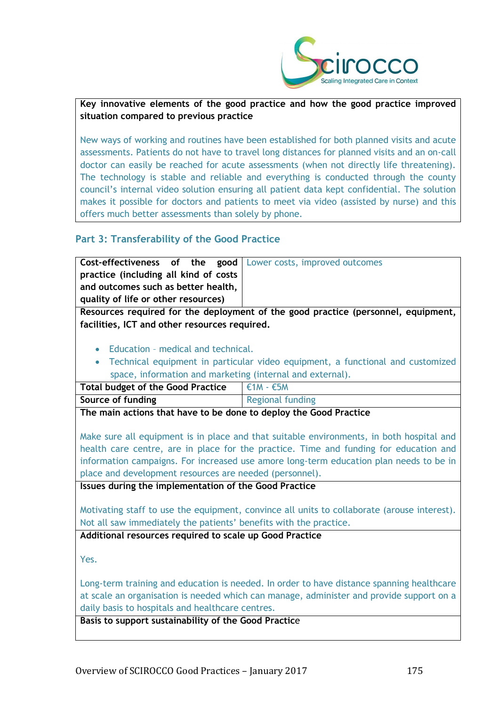

#### **Key innovative elements of the good practice and how the good practice improved situation compared to previous practice**

New ways of working and routines have been established for both planned visits and acute assessments. Patients do not have to travel long distances for planned visits and an on-call doctor can easily be reached for acute assessments (when not directly life threatening). The technology is stable and reliable and everything is conducted through the county council's internal video solution ensuring all patient data kept confidential. The solution makes it possible for doctors and patients to meet via video (assisted by nurse) and this offers much better assessments than solely by phone.

## **Part 3: Transferability of the Good Practice**

**Cost-effectiveness of the practice (including all kind of costs and outcomes such as better health, quality of life or other resources)** good | Lower costs, improved outcomes

**Resources required for the deployment of the good practice (personnel, equipment, facilities, ICT and other resources required.**

- Education medical and technical.
- Technical equipment in particular video equipment, a functional and customized space, information and marketing (internal and external).

| <b>Total budget of the Good Practice</b> | $\epsilon$ 1M - $\epsilon$ 5M |
|------------------------------------------|-------------------------------|
|                                          |                               |

| Source of funding                                                                                                                                                                                                              | Regional funding |
|--------------------------------------------------------------------------------------------------------------------------------------------------------------------------------------------------------------------------------|------------------|
| when the contract of the contract of the contract of the contract of the contract of the contract of the contract of the contract of the contract of the contract of the contract of the contract of the contract of the contr |                  |

**The main actions that have to be done to deploy the Good Practice**

Make sure all equipment is in place and that suitable environments, in both hospital and health care centre, are in place for the practice. Time and funding for education and information campaigns. For increased use amore long-term education plan needs to be in place and development resources are needed (personnel).

**Issues during the implementation of the Good Practice**

Motivating staff to use the equipment, convince all units to collaborate (arouse interest). Not all saw immediately the patients' benefits with the practice.

**Additional resources required to scale up Good Practice**

Yes.

Long-term training and education is needed. In order to have distance spanning healthcare at scale an organisation is needed which can manage, administer and provide support on a daily basis to hospitals and healthcare centres.

**Basis to support sustainability of the Good Practic**e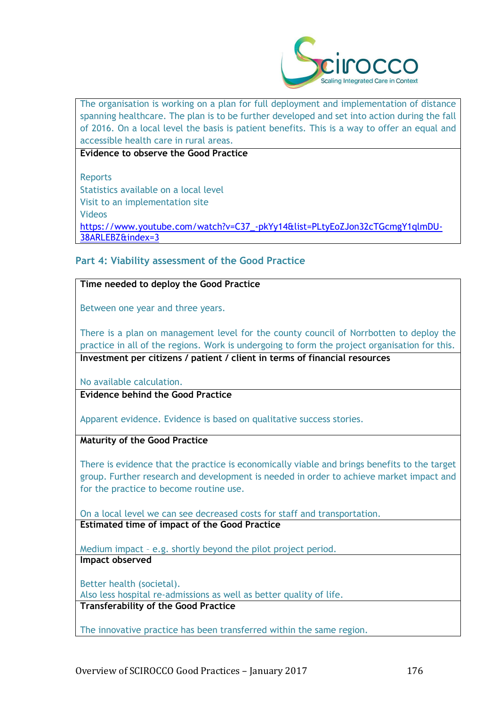

The organisation is working on a plan for full deployment and implementation of distance spanning healthcare. The plan is to be further developed and set into action during the fall of 2016. On a local level the basis is patient benefits. This is a way to offer an equal and accessible health care in rural areas.

**Evidence to observe the Good Practice**

Reports Statistics available on a local level Visit to an implementation site Videos [https://www.youtube.com/watch?v=C37\\_-pkYy14&list=PLtyEoZJon32cTGcmgY1qlmDU-](https://www.youtube.com/watch?v=C37_-pkYy14&list=PLtyEoZJon32cTGcmgY1qlmDU-38ARLEBZ&index=3)[38ARLEBZ&index=3](https://www.youtube.com/watch?v=C37_-pkYy14&list=PLtyEoZJon32cTGcmgY1qlmDU-38ARLEBZ&index=3)

## **Part 4: Viability assessment of the Good Practice**

#### **Time needed to deploy the Good Practice**

Between one year and three years.

There is a plan on management level for the county council of Norrbotten to deploy the practice in all of the regions. Work is undergoing to form the project organisation for this. **Investment per citizens / patient / client in terms of financial resources**

No available calculation.

**Evidence behind the Good Practice**

Apparent evidence. Evidence is based on qualitative success stories.

**Maturity of the Good Practice**

There is evidence that the practice is economically viable and brings benefits to the target group. Further research and development is needed in order to achieve market impact and for the practice to become routine use.

On a local level we can see decreased costs for staff and transportation. **Estimated time of impact of the Good Practice**

Medium impact – e.g. shortly beyond the pilot project period. **Impact observed**

Better health (societal). Also less hospital re-admissions as well as better quality of life. **Transferability of the Good Practice**

The innovative practice has been transferred within the same region.